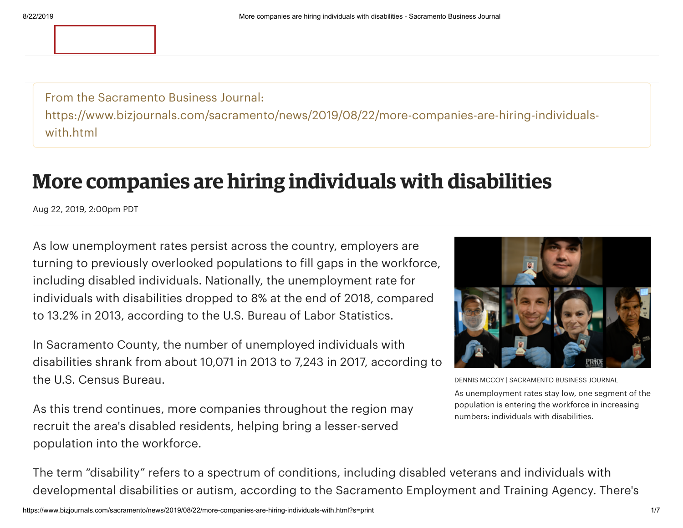From the Sacramento Business Journal: https://www.bizjournals.com/sacramento/news/2019/08/22/more-companies-are-hiring-individualswith.html

# **More companies are hiring individuals with disabilities**

Aug 22, 2019, 2:00pm PDT

As low unemployment rates persist across the country, employers are turning to previously overlooked populations to fill gaps in the workforce, including disabled individuals. Nationally, the unemployment rate for individuals with disabilities dropped to 8% at the end of 2018, compared to 13.2% in 2013, according to the U.S. Bureau of Labor Statistics.

In Sacramento County, the number of unemployed individuals with disabilities shrank from about 10,071 in 2013 to 7,243 in 2017, according to the U.S. Census Bureau.

As this trend continues, more companies throughout the region may recruit the area's disabled residents, helping bring a lesser-served population into the workforce.



DENNIS MCCOY | SACRAMENTO BUSINESS JOURNAL As unemployment rates stay low, one segment of the population is entering the workforce in increasing numbers: individuals with disabilities.

The term "disability" refers to a spectrum of conditions, including disabled veterans and individuals with developmental disabilities or autism, according to the Sacramento Employment and Training Agency. There's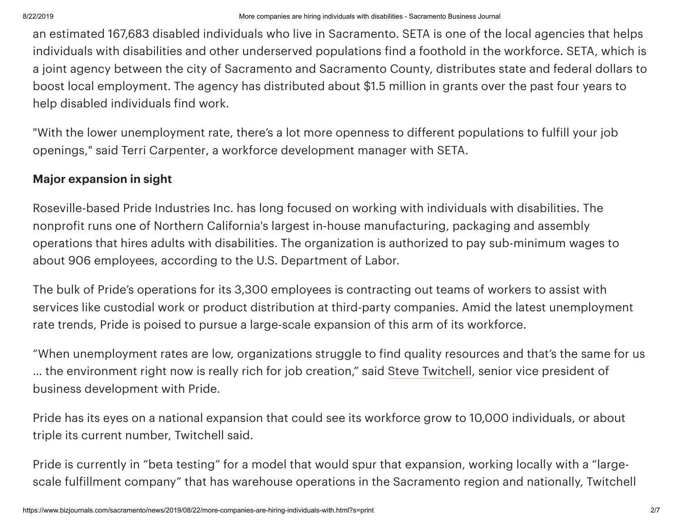an estimated 167,683 disabled individuals who live in Sacramento. SETA is one of the local agencies that helps individuals with disabilities and other underserved populations find a foothold in the workforce. SETA, which is a joint agency between the city of Sacramento and Sacramento County, distributes state and federal dollars to boost local employment. The agency has distributed about \$1.5 million in grants over the past four years to help disabled individuals find work.

"With the lower unemployment rate, there's a lot more openness to different populations to fulfill your job openings," said [Terri Carpenter](https://www.bizjournals.com/sacramento/search/results?q=Terri%20Carpenter), a workforce development manager with SETA.

### **Major expansion in sight**

Roseville-based Pride Industries Inc. has long focused on working with individuals with disabilities. The nonprofit runs one of Northern California's largest in-house manufacturing, packaging and assembly operations that hires adults with disabilities. The organization is authorized to pay sub-minimum wages to about 906 employees, according to the U.S. Department of Labor.

The bulk of Pride's operations for its 3,300 employees is contracting out teams of workers to assist with services like custodial work or product distribution at third-party companies. Amid the latest unemployment rate trends, Pride is poised to pursue a large-scale expansion of this arm of its workforce.

"When unemployment rates are low, organizations struggle to find quality resources and that's the same for us … the environment right now is really rich for job creation," said Steve [Twitchell](https://www.bizjournals.com/sacramento/search/results?q=Steve%20Twitchell), senior vice president of business development with Pride.

Pride has its eyes on a national expansion that could see its workforce grow to 10,000 individuals, or about triple its current number, Twitchell said.

Pride is currently in "beta testing" for a model that would spur that expansion, working locally with a "largescale fulfillment company" that has warehouse operations in the Sacramento region and nationally, Twitchell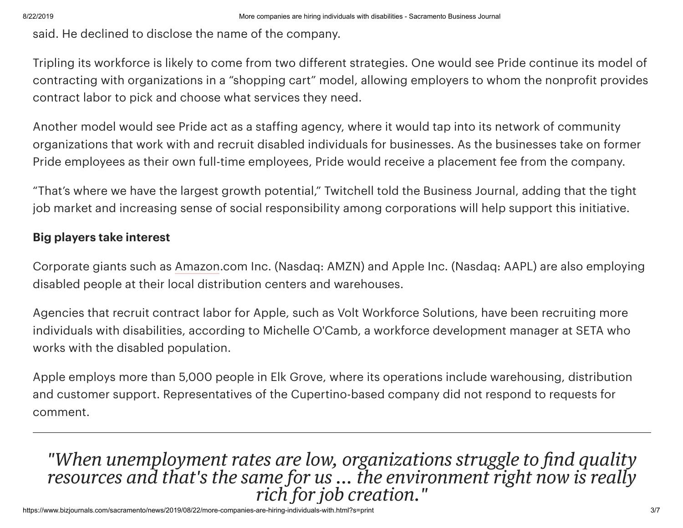said. He declined to disclose the name of the company.

Tripling its workforce is likely to come from two different strategies. One would see Pride continue its model of contracting with organizations in a "shopping cart" model, allowing employers to whom the nonprofit provides contract labor to pick and choose what services they need.

Another model would see Pride act as a staffing agency, where it would tap into its network of community organizations that work with and recruit disabled individuals for businesses. As the businesses take on former Pride employees as their own full-time employees, Pride would receive a placement fee from the company.

"That's where we have the largest growth potential," Twitchell told the Business Journal, adding that the tight job market and increasing sense of social responsibility among corporations will help support this initiative.

### **Big players take interest**

Corporate giants such as [Amazon](https://www.bizjournals.com/profile/company/org_ch_0d881db28103eb735cfa5297c5f790dd).com Inc. (Nasdaq: AMZN) and Apple Inc. (Nasdaq: AAPL) are also employing disabled people at their local distribution centers and warehouses.

Agencies that recruit contract labor for Apple, such as Volt Workforce Solutions, have been recruiting more individuals with disabilities, according to Michelle O'Camb, a workforce development manager at SETA who works with the disabled population.

Apple employs more than 5,000 people in Elk Grove, where its operations include warehousing, distribution and customer support. Representatives of the Cupertino-based company did not respond to requests for comment.

# *"When unemployment rates are low, organizations struggle to find quality resources and that's the same for us ... the environment right now is really rich for job creation."*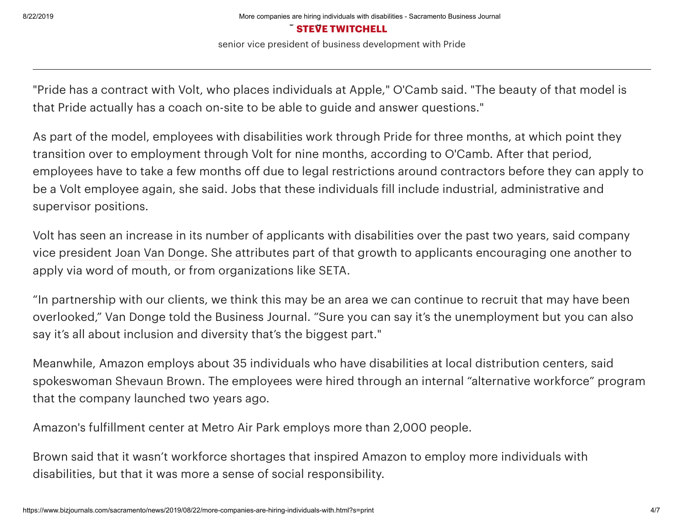#### **STEVE TWITCHELL**

senior vice president of business development with Pride

"Pride has a contract with Volt, who places individuals at Apple," O'Camb said. "The beauty of that model is that Pride actually has a coach on-site to be able to guide and answer questions."

As part of the model, employees with disabilities work through Pride for three months, at which point they transition over to employment through Volt for nine months, according to O'Camb. After that period, employees have to take a few months off due to legal restrictions around contractors before they can apply to be a Volt employee again, she said. Jobs that these individuals fill include industrial, administrative and supervisor positions.

Volt has seen an increase in its number of applicants with disabilities over the past two years, said company vice president Joan Van [Donge](https://www.bizjournals.com/sacramento/search/results?q=Joan%20Van%20Donge). She attributes part of that growth to applicants encouraging one another to apply via word of mouth, or from organizations like SETA.

"In partnership with our clients, we think this may be an area we can continue to recruit that may have been overlooked," Van Donge told the Business Journal. "Sure you can say it's the unemployment but you can also say it's all about inclusion and diversity that's the biggest part."

Meanwhile, Amazon employs about 35 individuals who have disabilities at local distribution centers, said spokeswoman [Shevaun](https://www.bizjournals.com/sacramento/search/results?q=Shevaun%20Brown) Brown. The employees were hired through an internal "alternative workforce" program that the company launched two years ago.

Amazon's fulfillment center at Metro Air Park employs more than 2,000 people.

Brown said that it wasn't workforce shortages that inspired Amazon to employ more individuals with disabilities, but that it was more a sense of social responsibility.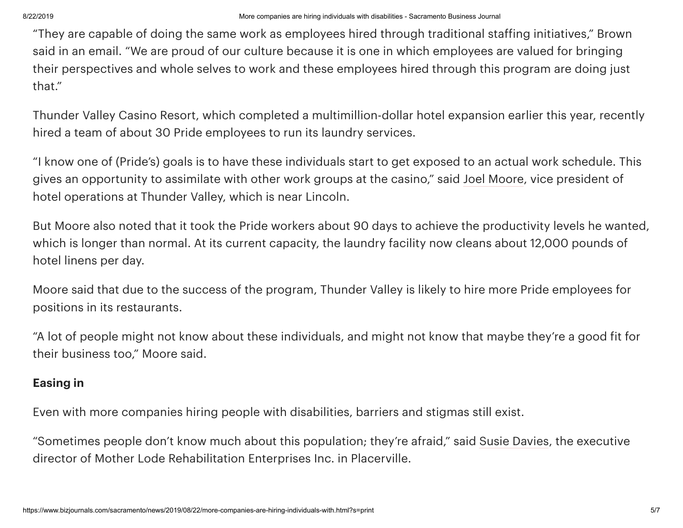"They are capable of doing the same work as employees hired through traditional staffing initiatives," Brown said in an email. "We are proud of our culture because it is one in which employees are valued for bringing their perspectives and whole selves to work and these employees hired through this program are doing just that."

Thunder Valley Casino Resort, which completed a multimillion-dollar hotel expansion earlier this year, recently hired a team of about 30 Pride employees to run its laundry services.

"I know one of (Pride's) goals is to have these individuals start to get exposed to an actual work schedule. This gives an opportunity to assimilate with other work groups at the casino," said Joel [Moore](https://www.bizjournals.com/sacramento/search/results?q=Joel%20Moore), vice president of hotel operations at Thunder Valley, which is near Lincoln.

But Moore also noted that it took the Pride workers about 90 days to achieve the productivity levels he wanted, which is longer than normal. At its current capacity, the laundry facility now cleans about 12,000 pounds of hotel linens per day.

Moore said that due to the success of the program, Thunder Valley is likely to hire more Pride employees for positions in its restaurants.

"A lot of people might not know about these individuals, and might not know that maybe they're a good fit for their business too," Moore said.

## **Easing in**

Even with more companies hiring people with disabilities, barriers and stigmas still exist.

"Sometimes people don't know much about this population; they're afraid," said Susie [Davies](https://www.bizjournals.com/sacramento/search/results?q=Susie%20Davies), the executive director of Mother Lode Rehabilitation Enterprises Inc. in Placerville.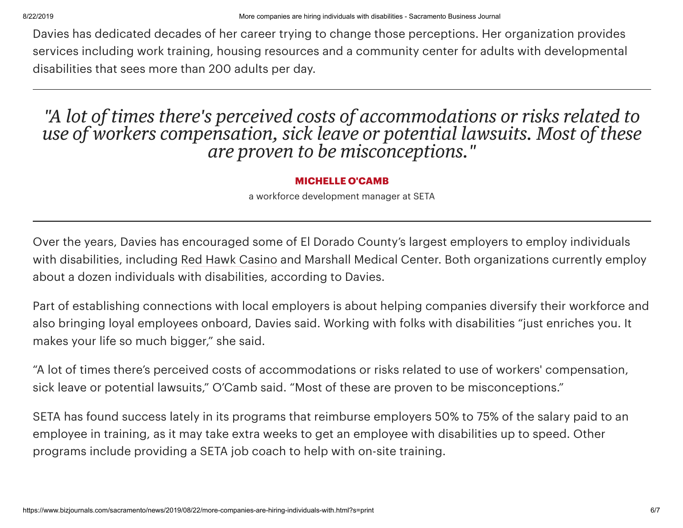Davies has dedicated decades of her career trying to change those perceptions. Her organization provides services including work training, housing resources and a community center for adults with developmental disabilities that sees more than 200 adults per day.

# *"A lot of times there's perceived costs of accommodations or risks related to use of workers compensation, sick leave or potential lawsuits. Most of these are proven to be misconceptions."*

#### **MICHELLE O'CAMB**

a workforce development manager at SETA

Over the years, Davies has encouraged some of El Dorado County's largest employers to employ individuals with disabilities, including Red Hawk [Casino](https://www.bizjournals.com/profile/company/org_ch_e87a3f6441bb3915b83f58fe34fbccda) and Marshall Medical Center. Both organizations currently employ about a dozen individuals with disabilities, according to Davies.

Part of establishing connections with local employers is about helping companies diversify their workforce and also bringing loyal employees onboard, Davies said. Working with folks with disabilities "just enriches you. It makes your life so much bigger," she said.

"A lot of times there's perceived costs of accommodations or risks related to use of workers' compensation, sick leave or potential lawsuits," O'Camb said. "Most of these are proven to be misconceptions."

SETA has found success lately in its programs that reimburse employers 50% to 75% of the salary paid to an employee in training, as it may take extra weeks to get an employee with disabilities up to speed. Other programs include providing a SETA job coach to help with on-site training.